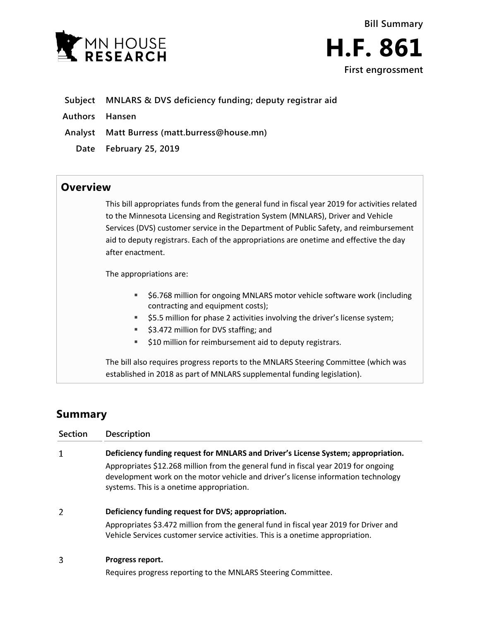



- **Subject MNLARS & DVS deficiency funding; deputy registrar aid**
- **Authors Hansen**
- **Analyst Matt Burress (matt.burress@house.mn)**
	- **Date February 25, 2019**

## **Overview**

This bill appropriates funds from the general fund in fiscal year 2019 for activities related to the Minnesota Licensing and Registration System (MNLARS), Driver and Vehicle Services (DVS) customer service in the Department of Public Safety, and reimbursement aid to deputy registrars. Each of the appropriations are onetime and effective the day after enactment.

The appropriations are:

- \$6.768 million for ongoing MNLARS motor vehicle software work (including contracting and equipment costs);
- \$5.5 million for phase 2 activities involving the driver's license system;
- \$3.472 million for DVS staffing; and
- **510 million for reimbursement aid to deputy registrars.**

The bill also requires progress reports to the MNLARS Steering Committee (which was established in 2018 as part of MNLARS supplemental funding legislation).

# **Summary**

| Section | <b>Description</b>                                                                                                                                                                                                    |
|---------|-----------------------------------------------------------------------------------------------------------------------------------------------------------------------------------------------------------------------|
| 1       | Deficiency funding request for MNLARS and Driver's License System; appropriation.                                                                                                                                     |
|         | Appropriates \$12.268 million from the general fund in fiscal year 2019 for ongoing<br>development work on the motor vehicle and driver's license information technology<br>systems. This is a onetime appropriation. |
| 2       | Deficiency funding request for DVS; appropriation.                                                                                                                                                                    |
|         | Appropriates \$3.472 million from the general fund in fiscal year 2019 for Driver and<br>Vehicle Services customer service activities. This is a onetime appropriation.                                               |
|         |                                                                                                                                                                                                                       |

#### **Progress report.** 3

Requires progress reporting to the MNLARS Steering Committee.